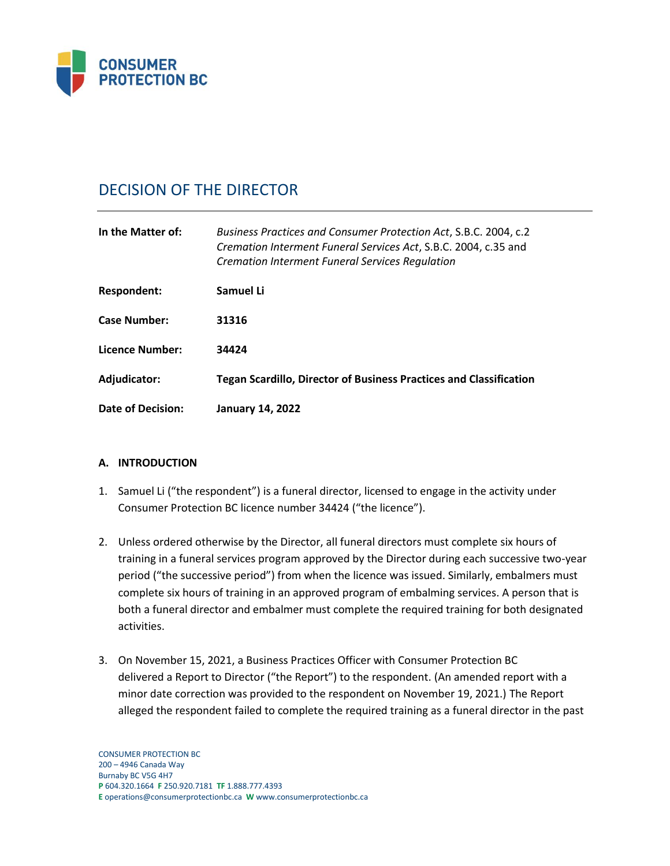

# DECISION OF THE DIRECTOR

| In the Matter of:   | Business Practices and Consumer Protection Act, S.B.C. 2004, c.2<br>Cremation Interment Funeral Services Act, S.B.C. 2004, c.35 and<br><b>Cremation Interment Funeral Services Requlation</b> |
|---------------------|-----------------------------------------------------------------------------------------------------------------------------------------------------------------------------------------------|
| Respondent:         | Samuel Li                                                                                                                                                                                     |
| <b>Case Number:</b> | 31316                                                                                                                                                                                         |
| Licence Number:     | 34424                                                                                                                                                                                         |
| Adjudicator:        | <b>Tegan Scardillo, Director of Business Practices and Classification</b>                                                                                                                     |
| Date of Decision:   | <b>January 14, 2022</b>                                                                                                                                                                       |

# **A. INTRODUCTION**

- 1. Samuel Li ("the respondent") is a funeral director, licensed to engage in the activity under Consumer Protection BC licence number 34424 ("the licence").
- 2. Unless ordered otherwise by the Director, all funeral directors must complete six hours of training in a funeral services program approved by the Director during each successive two-year period ("the successive period") from when the licence was issued. Similarly, embalmers must complete six hours of training in an approved program of embalming services. A person that is both a funeral director and embalmer must complete the required training for both designated activities.
- 3. On November 15, 2021, a Business Practices Officer with Consumer Protection BC delivered a Report to Director ("the Report") to the respondent. (An amended report with a minor date correction was provided to the respondent on November 19, 2021.) The Report alleged the respondent failed to complete the required training as a funeral director in the past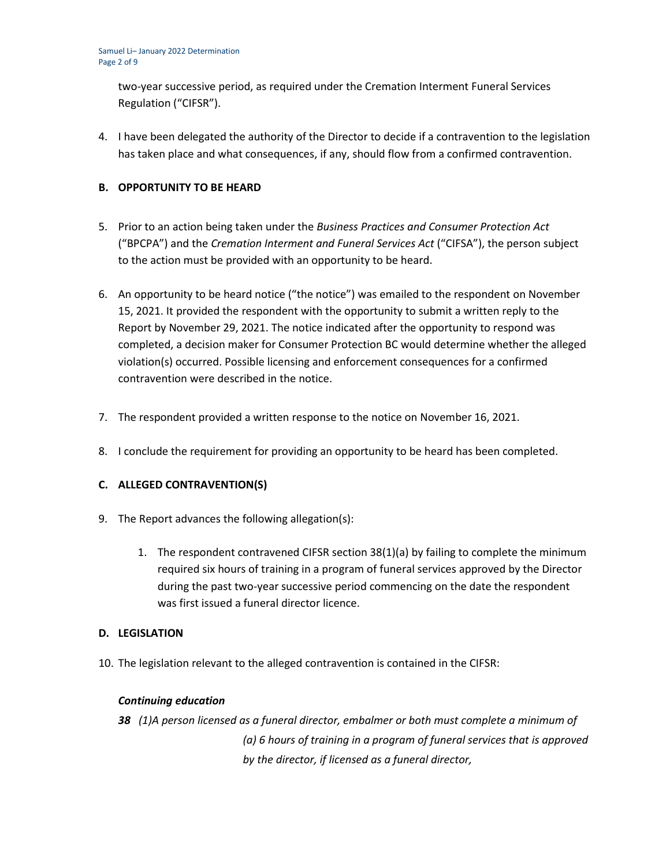two-year successive period, as required under the Cremation Interment Funeral Services Regulation ("CIFSR").

4. I have been delegated the authority of the Director to decide if a contravention to the legislation has taken place and what consequences, if any, should flow from a confirmed contravention.

## **B. OPPORTUNITY TO BE HEARD**

- 5. Prior to an action being taken under the *Business Practices and Consumer Protection Act*  ("BPCPA") and the *Cremation Interment and Funeral Services Act* ("CIFSA"), the person subject to the action must be provided with an opportunity to be heard.
- 6. An opportunity to be heard notice ("the notice") was emailed to the respondent on November 15, 2021. It provided the respondent with the opportunity to submit a written reply to the Report by November 29, 2021. The notice indicated after the opportunity to respond was completed, a decision maker for Consumer Protection BC would determine whether the alleged violation(s) occurred. Possible licensing and enforcement consequences for a confirmed contravention were described in the notice.
- 7. The respondent provided a written response to the notice on November 16, 2021.
- 8. I conclude the requirement for providing an opportunity to be heard has been completed.

# **C. ALLEGED CONTRAVENTION(S)**

- 9. The Report advances the following allegation(s):
	- 1. The respondent contravened CIFSR section 38(1)(a) by failing to complete the minimum required six hours of training in a program of funeral services approved by the Director during the past two-year successive period commencing on the date the respondent was first issued a funeral director licence.

#### **D. LEGISLATION**

10. The legislation relevant to the alleged contravention is contained in the CIFSR:

#### *Continuing education*

*38 (1)A person licensed as a funeral director, embalmer or both must complete a minimum of (a) 6 hours of training in a program of funeral services that is approved by the director, if licensed as a funeral director,*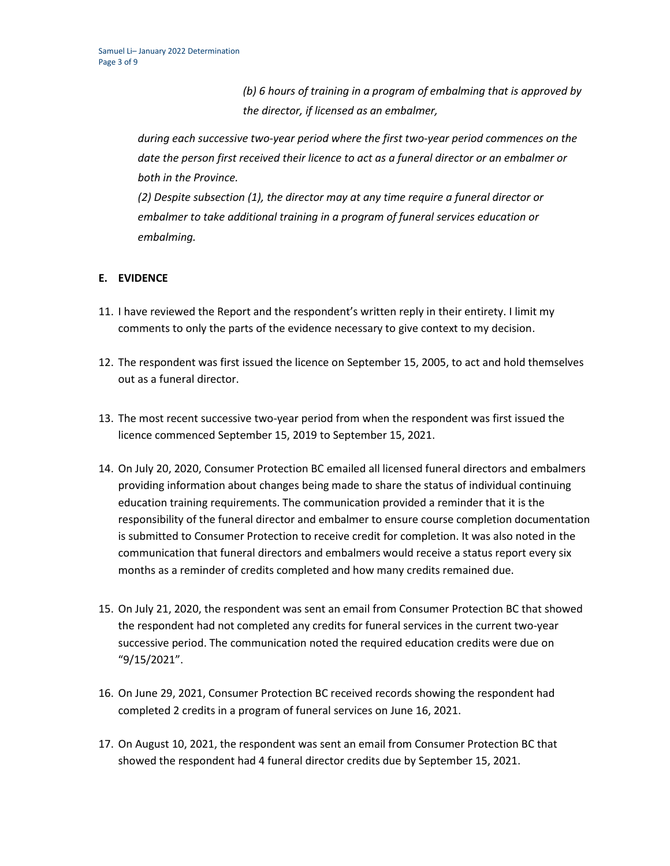*(b) 6 hours of training in a program of embalming that is approved by the director, if licensed as an embalmer,*

*during each successive two-year period where the first two-year period commences on the date the person first received their licence to act as a funeral director or an embalmer or both in the Province.*

*(2) Despite subsection (1), the director may at any time require a funeral director or embalmer to take additional training in a program of funeral services education or embalming.*

# **E. EVIDENCE**

- 11. I have reviewed the Report and the respondent's written reply in their entirety. I limit my comments to only the parts of the evidence necessary to give context to my decision.
- 12. The respondent was first issued the licence on September 15, 2005, to act and hold themselves out as a funeral director.
- 13. The most recent successive two-year period from when the respondent was first issued the licence commenced September 15, 2019 to September 15, 2021.
- 14. On July 20, 2020, Consumer Protection BC emailed all licensed funeral directors and embalmers providing information about changes being made to share the status of individual continuing education training requirements. The communication provided a reminder that it is the responsibility of the funeral director and embalmer to ensure course completion documentation is submitted to Consumer Protection to receive credit for completion. It was also noted in the communication that funeral directors and embalmers would receive a status report every six months as a reminder of credits completed and how many credits remained due.
- 15. On July 21, 2020, the respondent was sent an email from Consumer Protection BC that showed the respondent had not completed any credits for funeral services in the current two-year successive period. The communication noted the required education credits were due on "9/15/2021".
- 16. On June 29, 2021, Consumer Protection BC received records showing the respondent had completed 2 credits in a program of funeral services on June 16, 2021.
- 17. On August 10, 2021, the respondent was sent an email from Consumer Protection BC that showed the respondent had 4 funeral director credits due by September 15, 2021.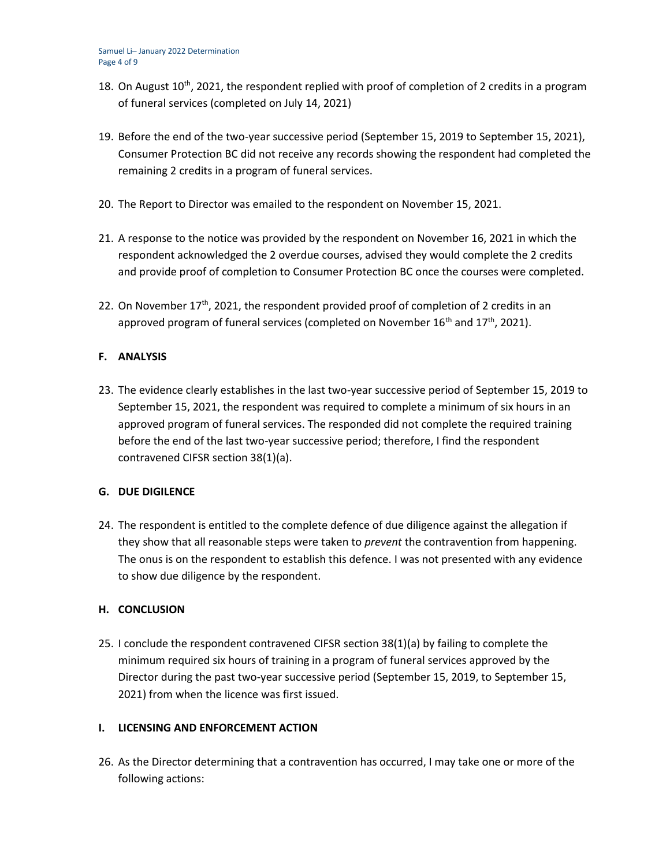- 18. On August  $10^{th}$ , 2021, the respondent replied with proof of completion of 2 credits in a program of funeral services (completed on July 14, 2021)
- 19. Before the end of the two-year successive period (September 15, 2019 to September 15, 2021), Consumer Protection BC did not receive any records showing the respondent had completed the remaining 2 credits in a program of funeral services.
- 20. The Report to Director was emailed to the respondent on November 15, 2021.
- 21. A response to the notice was provided by the respondent on November 16, 2021 in which the respondent acknowledged the 2 overdue courses, advised they would complete the 2 credits and provide proof of completion to Consumer Protection BC once the courses were completed.
- 22. On November  $17<sup>th</sup>$ , 2021, the respondent provided proof of completion of 2 credits in an approved program of funeral services (completed on November  $16<sup>th</sup>$  and  $17<sup>th</sup>$ , 2021).

## **F. ANALYSIS**

23. The evidence clearly establishes in the last two-year successive period of September 15, 2019 to September 15, 2021, the respondent was required to complete a minimum of six hours in an approved program of funeral services. The responded did not complete the required training before the end of the last two-year successive period; therefore, I find the respondent contravened CIFSR section 38(1)(a).

#### **G. DUE DIGILENCE**

24. The respondent is entitled to the complete defence of due diligence against the allegation if they show that all reasonable steps were taken to *prevent* the contravention from happening. The onus is on the respondent to establish this defence. I was not presented with any evidence to show due diligence by the respondent.

# **H. CONCLUSION**

25. I conclude the respondent contravened CIFSR section 38(1)(a) by failing to complete the minimum required six hours of training in a program of funeral services approved by the Director during the past two-year successive period (September 15, 2019, to September 15, 2021) from when the licence was first issued.

#### **I. LICENSING AND ENFORCEMENT ACTION**

26. As the Director determining that a contravention has occurred, I may take one or more of the following actions: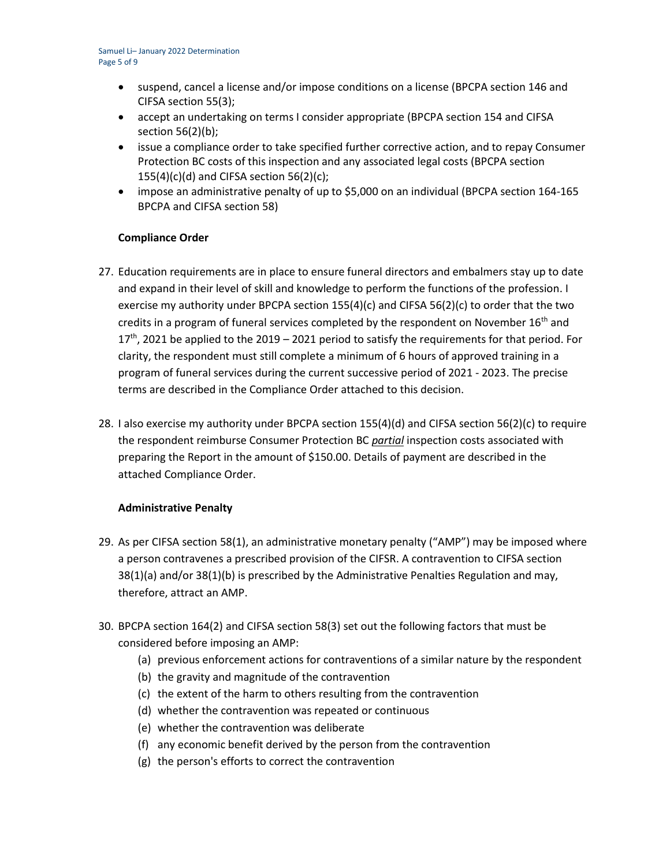- suspend, cancel a license and/or impose conditions on a license (BPCPA section 146 and CIFSA section 55(3);
- accept an undertaking on terms I consider appropriate (BPCPA section 154 and CIFSA section 56(2)(b);
- issue a compliance order to take specified further corrective action, and to repay Consumer Protection BC costs of this inspection and any associated legal costs (BPCPA section  $155(4)(c)(d)$  and CIFSA section 56(2)(c);
- impose an administrative penalty of up to \$5,000 on an individual (BPCPA section 164-165 BPCPA and CIFSA section 58)

## **Compliance Order**

- 27. Education requirements are in place to ensure funeral directors and embalmers stay up to date and expand in their level of skill and knowledge to perform the functions of the profession. I exercise my authority under BPCPA section  $155(4)(c)$  and CIFSA  $56(2)(c)$  to order that the two credits in a program of funeral services completed by the respondent on November 16<sup>th</sup> and  $17<sup>th</sup>$ , 2021 be applied to the 2019 – 2021 period to satisfy the requirements for that period. For clarity, the respondent must still complete a minimum of 6 hours of approved training in a program of funeral services during the current successive period of 2021 - 2023. The precise terms are described in the Compliance Order attached to this decision.
- 28. I also exercise my authority under BPCPA section 155(4)(d) and CIFSA section 56(2)(c) to require the respondent reimburse Consumer Protection BC *partial* inspection costs associated with preparing the Report in the amount of \$150.00. Details of payment are described in the attached Compliance Order.

#### **Administrative Penalty**

- 29. As per CIFSA section 58(1), an administrative monetary penalty ("AMP") may be imposed where a person contravenes a prescribed provision of the CIFSR. A contravention to CIFSA section 38(1)(a) and/or 38(1)(b) is prescribed by the Administrative Penalties Regulation and may, therefore, attract an AMP.
- 30. BPCPA section 164(2) and CIFSA section 58(3) set out the following factors that must be considered before imposing an AMP:
	- (a) previous enforcement actions for contraventions of a similar nature by the respondent
	- (b) the gravity and magnitude of the contravention
	- (c) the extent of the harm to others resulting from the contravention
	- (d) whether the contravention was repeated or continuous
	- (e) whether the contravention was deliberate
	- (f) any economic benefit derived by the person from the contravention
	- (g) the person's efforts to correct the contravention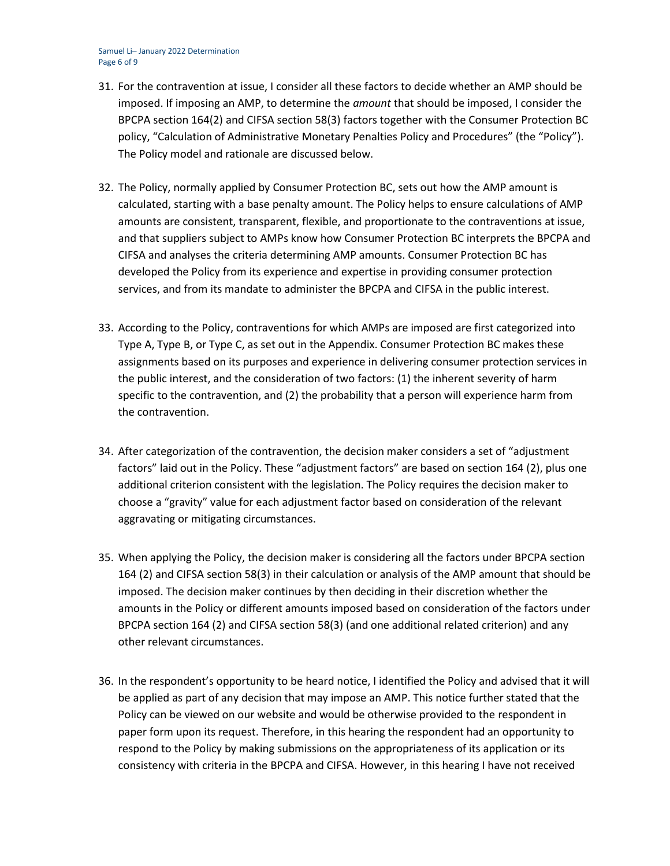#### Samuel Li– January 2022 Determination Page 6 of 9

- 31. For the contravention at issue, I consider all these factors to decide whether an AMP should be imposed. If imposing an AMP, to determine the *amount* that should be imposed, I consider the BPCPA section 164(2) and CIFSA section 58(3) factors together with the Consumer Protection BC policy, "Calculation of Administrative Monetary Penalties Policy and Procedures" (the "Policy"). The Policy model and rationale are discussed below.
- 32. The Policy, normally applied by Consumer Protection BC, sets out how the AMP amount is calculated, starting with a base penalty amount. The Policy helps to ensure calculations of AMP amounts are consistent, transparent, flexible, and proportionate to the contraventions at issue, and that suppliers subject to AMPs know how Consumer Protection BC interprets the BPCPA and CIFSA and analyses the criteria determining AMP amounts. Consumer Protection BC has developed the Policy from its experience and expertise in providing consumer protection services, and from its mandate to administer the BPCPA and CIFSA in the public interest.
- 33. According to the Policy, contraventions for which AMPs are imposed are first categorized into Type A, Type B, or Type C, as set out in the Appendix. Consumer Protection BC makes these assignments based on its purposes and experience in delivering consumer protection services in the public interest, and the consideration of two factors: (1) the inherent severity of harm specific to the contravention, and (2) the probability that a person will experience harm from the contravention.
- 34. After categorization of the contravention, the decision maker considers a set of "adjustment factors" laid out in the Policy. These "adjustment factors" are based on section 164 (2), plus one additional criterion consistent with the legislation. The Policy requires the decision maker to choose a "gravity" value for each adjustment factor based on consideration of the relevant aggravating or mitigating circumstances.
- 35. When applying the Policy, the decision maker is considering all the factors under BPCPA section 164 (2) and CIFSA section 58(3) in their calculation or analysis of the AMP amount that should be imposed. The decision maker continues by then deciding in their discretion whether the amounts in the Policy or different amounts imposed based on consideration of the factors under BPCPA section 164 (2) and CIFSA section 58(3) (and one additional related criterion) and any other relevant circumstances.
- 36. In the respondent's opportunity to be heard notice, I identified the Policy and advised that it will be applied as part of any decision that may impose an AMP. This notice further stated that the Policy can be viewed on our website and would be otherwise provided to the respondent in paper form upon its request. Therefore, in this hearing the respondent had an opportunity to respond to the Policy by making submissions on the appropriateness of its application or its consistency with criteria in the BPCPA and CIFSA. However, in this hearing I have not received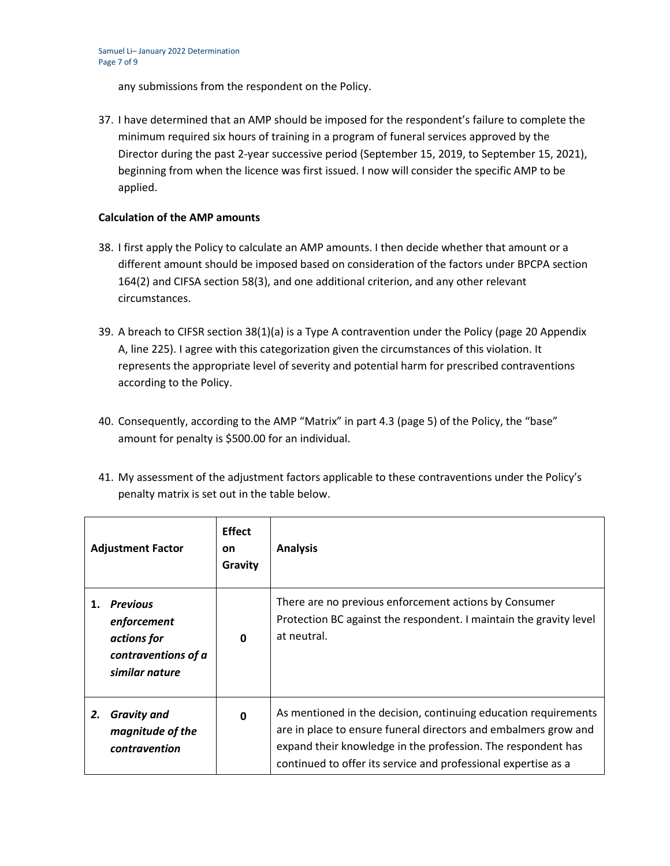any submissions from the respondent on the Policy.

37. I have determined that an AMP should be imposed for the respondent's failure to complete the minimum required six hours of training in a program of funeral services approved by the Director during the past 2-year successive period (September 15, 2019, to September 15, 2021), beginning from when the licence was first issued. I now will consider the specific AMP to be applied.

# **Calculation of the AMP amounts**

- 38. I first apply the Policy to calculate an AMP amounts. I then decide whether that amount or a different amount should be imposed based on consideration of the factors under BPCPA section 164(2) and CIFSA section 58(3), and one additional criterion, and any other relevant circumstances.
- 39. A breach to CIFSR section 38(1)(a) is a Type A contravention under the Policy (page 20 Appendix A, line 225). I agree with this categorization given the circumstances of this violation. It represents the appropriate level of severity and potential harm for prescribed contraventions according to the Policy.
- 40. Consequently, according to the AMP "Matrix" in part 4.3 (page 5) of the Policy, the "base" amount for penalty is \$500.00 for an individual.
- 41. My assessment of the adjustment factors applicable to these contraventions under the Policy's penalty matrix is set out in the table below.

|    | <b>Adjustment Factor</b>                                                           | <b>Effect</b><br><b>on</b><br>Gravity | <b>Analysis</b>                                                                                                                                                                                                                                                      |
|----|------------------------------------------------------------------------------------|---------------------------------------|----------------------------------------------------------------------------------------------------------------------------------------------------------------------------------------------------------------------------------------------------------------------|
|    | 1. Previous<br>enforcement<br>actions for<br>contraventions of a<br>similar nature | $\mathbf{0}$                          | There are no previous enforcement actions by Consumer<br>Protection BC against the respondent. I maintain the gravity level<br>at neutral.                                                                                                                           |
| 2. | <b>Gravity and</b><br>magnitude of the<br>contravention                            | $\mathbf{0}$                          | As mentioned in the decision, continuing education requirements<br>are in place to ensure funeral directors and embalmers grow and<br>expand their knowledge in the profession. The respondent has<br>continued to offer its service and professional expertise as a |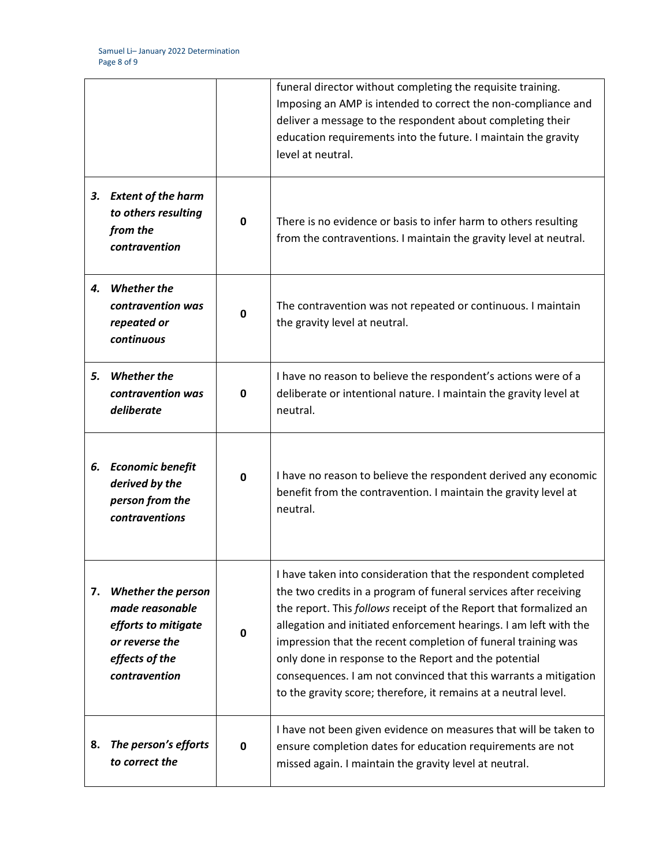|    |                                                                                                                          |             | funeral director without completing the requisite training.<br>Imposing an AMP is intended to correct the non-compliance and<br>deliver a message to the respondent about completing their<br>education requirements into the future. I maintain the gravity<br>level at neutral.                                                                                                                                                                                                                                                            |
|----|--------------------------------------------------------------------------------------------------------------------------|-------------|----------------------------------------------------------------------------------------------------------------------------------------------------------------------------------------------------------------------------------------------------------------------------------------------------------------------------------------------------------------------------------------------------------------------------------------------------------------------------------------------------------------------------------------------|
|    | 3. Extent of the harm<br>to others resulting<br>from the<br>contravention                                                | $\mathbf 0$ | There is no evidence or basis to infer harm to others resulting<br>from the contraventions. I maintain the gravity level at neutral.                                                                                                                                                                                                                                                                                                                                                                                                         |
|    | 4. Whether the<br>contravention was<br>repeated or<br>continuous                                                         | $\mathbf 0$ | The contravention was not repeated or continuous. I maintain<br>the gravity level at neutral.                                                                                                                                                                                                                                                                                                                                                                                                                                                |
| 5. | <b>Whether the</b><br>contravention was<br>deliberate                                                                    | $\mathbf 0$ | I have no reason to believe the respondent's actions were of a<br>deliberate or intentional nature. I maintain the gravity level at<br>neutral.                                                                                                                                                                                                                                                                                                                                                                                              |
| 6. | <b>Economic benefit</b><br>derived by the<br>person from the<br>contraventions                                           | $\mathbf 0$ | I have no reason to believe the respondent derived any economic<br>benefit from the contravention. I maintain the gravity level at<br>neutral.                                                                                                                                                                                                                                                                                                                                                                                               |
| 7. | <b>Whether the person</b><br>made reasonable<br>efforts to mitigate<br>or reverse the<br>effects of the<br>contravention | $\mathbf 0$ | I have taken into consideration that the respondent completed<br>the two credits in a program of funeral services after receiving<br>the report. This follows receipt of the Report that formalized an<br>allegation and initiated enforcement hearings. I am left with the<br>impression that the recent completion of funeral training was<br>only done in response to the Report and the potential<br>consequences. I am not convinced that this warrants a mitigation<br>to the gravity score; therefore, it remains at a neutral level. |
| 8. | The person's efforts<br>to correct the                                                                                   | $\mathbf 0$ | I have not been given evidence on measures that will be taken to<br>ensure completion dates for education requirements are not<br>missed again. I maintain the gravity level at neutral.                                                                                                                                                                                                                                                                                                                                                     |